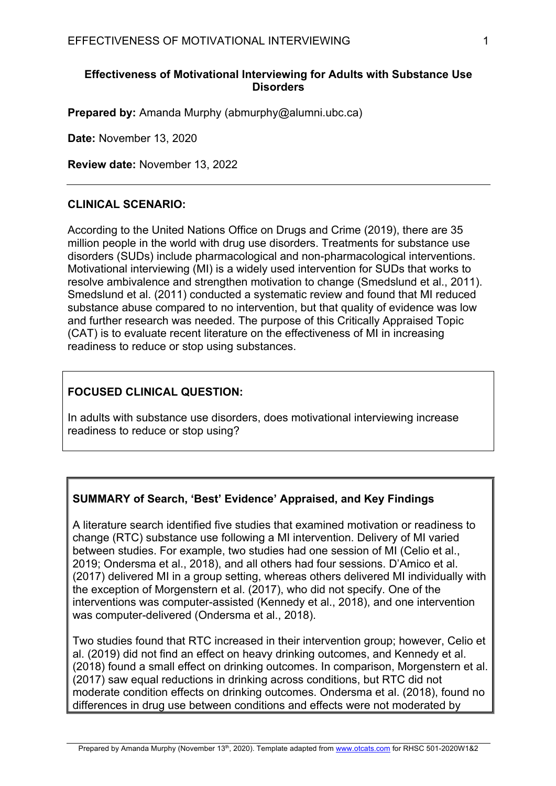### **Effectiveness of Motivational Interviewing for Adults with Substance Use Disorders**

**Prepared by:** Amanda Murphy (abmurphy@alumni.ubc.ca)

**Date:** November 13, 2020

**Review date:** November 13, 2022

### **CLINICAL SCENARIO:**

According to the United Nations Office on Drugs and Crime (2019), there are 35 million people in the world with drug use disorders. Treatments for substance use disorders (SUDs) include pharmacological and non-pharmacological interventions. Motivational interviewing (MI) is a widely used intervention for SUDs that works to resolve ambivalence and strengthen motivation to change (Smedslund et al., 2011). Smedslund et al. (2011) conducted a systematic review and found that MI reduced substance abuse compared to no intervention, but that quality of evidence was low and further research was needed. The purpose of this Critically Appraised Topic (CAT) is to evaluate recent literature on the effectiveness of MI in increasing readiness to reduce or stop using substances.

# **FOCUSED CLINICAL QUESTION:**

In adults with substance use disorders, does motivational interviewing increase readiness to reduce or stop using?

# **SUMMARY of Search, 'Best' Evidence' Appraised, and Key Findings**

A literature search identified five studies that examined motivation or readiness to change (RTC) substance use following a MI intervention. Delivery of MI varied between studies. For example, two studies had one session of MI (Celio et al., 2019; Ondersma et al., 2018), and all others had four sessions. D'Amico et al. (2017) delivered MI in a group setting, whereas others delivered MI individually with the exception of Morgenstern et al. (2017), who did not specify. One of the interventions was computer-assisted (Kennedy et al., 2018), and one intervention was computer-delivered (Ondersma et al., 2018).

Two studies found that RTC increased in their intervention group; however, Celio et al. (2019) did not find an effect on heavy drinking outcomes, and Kennedy et al. (2018) found a small effect on drinking outcomes. In comparison, Morgenstern et al. (2017) saw equal reductions in drinking across conditions, but RTC did not moderate condition effects on drinking outcomes. Ondersma et al. (2018), found no differences in drug use between conditions and effects were not moderated by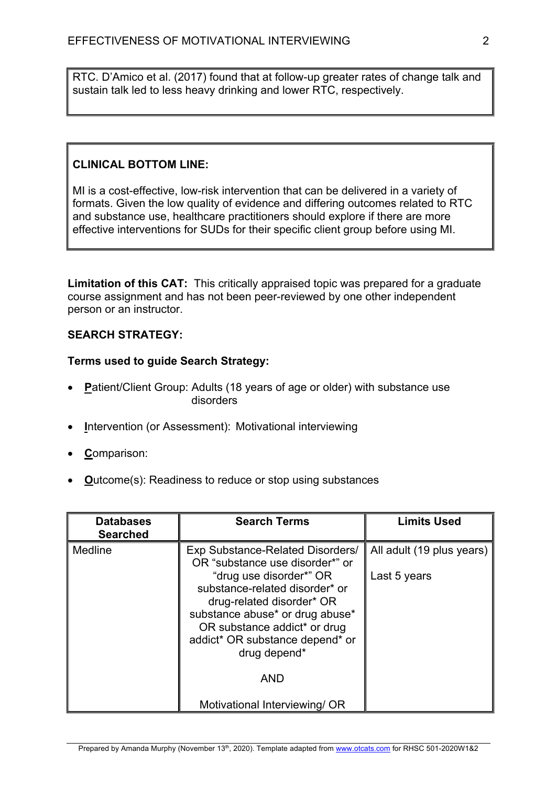RTC. D'Amico et al. (2017) found that at follow-up greater rates of change talk and sustain talk led to less heavy drinking and lower RTC, respectively.

# **CLINICAL BOTTOM LINE:**

MI is a cost-effective, low-risk intervention that can be delivered in a variety of formats. Given the low quality of evidence and differing outcomes related to RTC and substance use, healthcare practitioners should explore if there are more effective interventions for SUDs for their specific client group before using MI.

**Limitation of this CAT:** This critically appraised topic was prepared for a graduate course assignment and has not been peer-reviewed by one other independent person or an instructor.

# **SEARCH STRATEGY:**

# **Terms used to guide Search Strategy:**

- **P**atient/Client Group: Adults (18 years of age or older) with substance use disorders
- **Intervention (or Assessment): Motivational interviewing**
- **C**omparison:
- **O**utcome(s): Readiness to reduce or stop using substances

| <b>Databases</b><br><b>Searched</b> | <b>Search Terms</b>                                                                                                                                                                                                                                                                                                                | <b>Limits Used</b>                        |
|-------------------------------------|------------------------------------------------------------------------------------------------------------------------------------------------------------------------------------------------------------------------------------------------------------------------------------------------------------------------------------|-------------------------------------------|
| Medline                             | Exp Substance-Related Disorders/<br>OR "substance use disorder*" or<br>"drug use disorder*" OR<br>substance-related disorder* or<br>drug-related disorder* OR<br>substance abuse* or drug abuse*<br>OR substance addict* or drug<br>addict* OR substance depend* or<br>drug depend*<br><b>AND</b><br>Motivational Interviewing/ OR | All adult (19 plus years)<br>Last 5 years |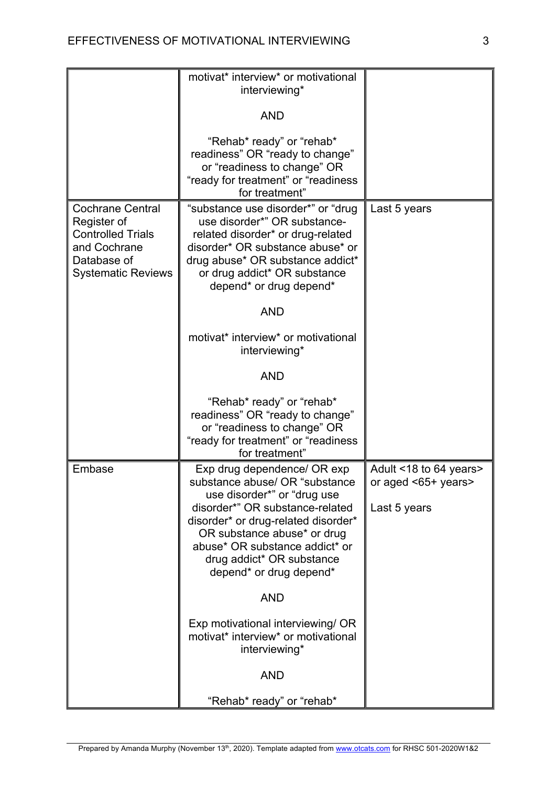|                                                                                                                                | motivat* interview* or motivational<br>interviewing*                                                                                                                                                                                                                                                             |                                                               |
|--------------------------------------------------------------------------------------------------------------------------------|------------------------------------------------------------------------------------------------------------------------------------------------------------------------------------------------------------------------------------------------------------------------------------------------------------------|---------------------------------------------------------------|
|                                                                                                                                | <b>AND</b>                                                                                                                                                                                                                                                                                                       |                                                               |
|                                                                                                                                | "Rehab* ready" or "rehab*<br>readiness" OR "ready to change"<br>or "readiness to change" OR<br>"ready for treatment" or "readiness<br>for treatment"                                                                                                                                                             |                                                               |
| <b>Cochrane Central</b><br>Register of<br><b>Controlled Trials</b><br>and Cochrane<br>Database of<br><b>Systematic Reviews</b> | "substance use disorder*" or "drug<br>use disorder*" OR substance-<br>related disorder* or drug-related<br>disorder* OR substance abuse* or<br>drug abuse* OR substance addict*<br>or drug addict* OR substance<br>depend* or drug depend*<br><b>AND</b><br>motivat* interview* or motivational<br>interviewing* | Last 5 years                                                  |
|                                                                                                                                | <b>AND</b>                                                                                                                                                                                                                                                                                                       |                                                               |
|                                                                                                                                | "Rehab* ready" or "rehab*<br>readiness" OR "ready to change"<br>or "readiness to change" OR<br>"ready for treatment" or "readiness<br>for treatment"                                                                                                                                                             |                                                               |
| Embase                                                                                                                         | Exp drug dependence/ OR exp<br>substance abuse/ OR "substance<br>use disorder*" or "drug use<br>disorder*" OR substance-related<br>disorder* or drug-related disorder*<br>OR substance abuse* or drug<br>abuse* OR substance addict* or<br>drug addict* OR substance<br>depend* or drug depend*                  | Adult <18 to 64 years><br>or aged <65+ years><br>Last 5 years |
|                                                                                                                                | <b>AND</b>                                                                                                                                                                                                                                                                                                       |                                                               |
|                                                                                                                                | Exp motivational interviewing/ OR<br>motivat* interview* or motivational<br>interviewing*                                                                                                                                                                                                                        |                                                               |
|                                                                                                                                | <b>AND</b>                                                                                                                                                                                                                                                                                                       |                                                               |
|                                                                                                                                | "Rehab* ready" or "rehab*                                                                                                                                                                                                                                                                                        |                                                               |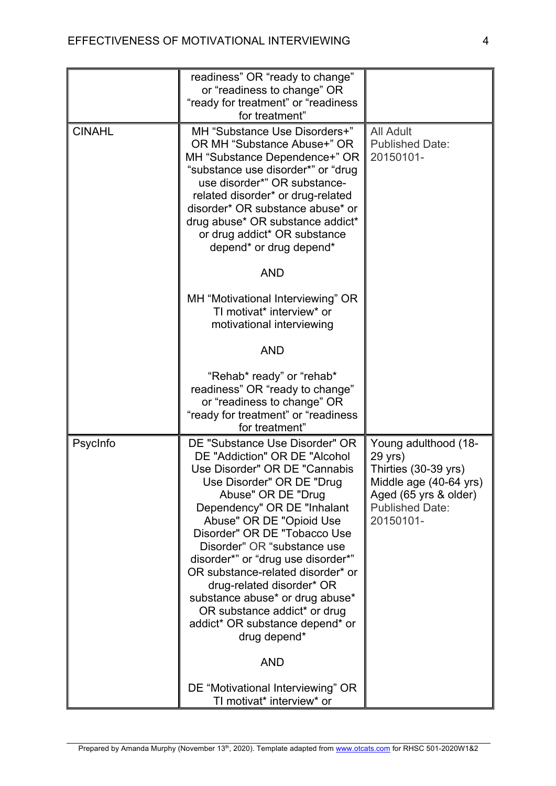|               | readiness" OR "ready to change"<br>or "readiness to change" OR<br>"ready for treatment" or "readiness<br>for treatment"                                                                                                                                                                                                                                                                                                                                                                                                   |                                                                                                                                                   |
|---------------|---------------------------------------------------------------------------------------------------------------------------------------------------------------------------------------------------------------------------------------------------------------------------------------------------------------------------------------------------------------------------------------------------------------------------------------------------------------------------------------------------------------------------|---------------------------------------------------------------------------------------------------------------------------------------------------|
| <b>CINAHL</b> | MH "Substance Use Disorders+"<br>OR MH "Substance Abuse+" OR<br>MH "Substance Dependence+" OR<br>"substance use disorder*" or "drug<br>use disorder*" OR substance-<br>related disorder* or drug-related<br>disorder* OR substance abuse* or<br>drug abuse* OR substance addict*<br>or drug addict* OR substance<br>depend* or drug depend*                                                                                                                                                                               | <b>All Adult</b><br><b>Published Date:</b><br>20150101-                                                                                           |
|               | <b>AND</b>                                                                                                                                                                                                                                                                                                                                                                                                                                                                                                                |                                                                                                                                                   |
|               | MH "Motivational Interviewing" OR<br>TI motivat* interview* or<br>motivational interviewing                                                                                                                                                                                                                                                                                                                                                                                                                               |                                                                                                                                                   |
|               | <b>AND</b>                                                                                                                                                                                                                                                                                                                                                                                                                                                                                                                |                                                                                                                                                   |
|               | "Rehab* ready" or "rehab*<br>readiness" OR "ready to change"<br>or "readiness to change" OR<br>"ready for treatment" or "readiness<br>for treatment"                                                                                                                                                                                                                                                                                                                                                                      |                                                                                                                                                   |
| PsycInfo      | DE "Substance Use Disorder" OR<br>DE "Addiction" OR DE "Alcohol<br>Use Disorder" OR DE "Cannabis<br>Use Disorder" OR DE "Drug<br>Abuse" OR DE "Drug<br>Dependency" OR DE "Inhalant<br>Abuse" OR DE "Opioid Use<br>Disorder" OR DE "Tobacco Use<br>Disorder" OR "substance use<br>disorder*" or "drug use disorder*"<br>OR substance-related disorder* or<br>drug-related disorder* OR<br>substance abuse* or drug abuse*<br>OR substance addict* or drug<br>addict* OR substance depend* or<br>drug depend*<br><b>AND</b> | Young adulthood (18-<br>29 yrs)<br>Thirties (30-39 yrs)<br>Middle age (40-64 yrs)<br>Aged (65 yrs & older)<br><b>Published Date:</b><br>20150101- |
|               | DE "Motivational Interviewing" OR<br>TI motivat* interview* or                                                                                                                                                                                                                                                                                                                                                                                                                                                            |                                                                                                                                                   |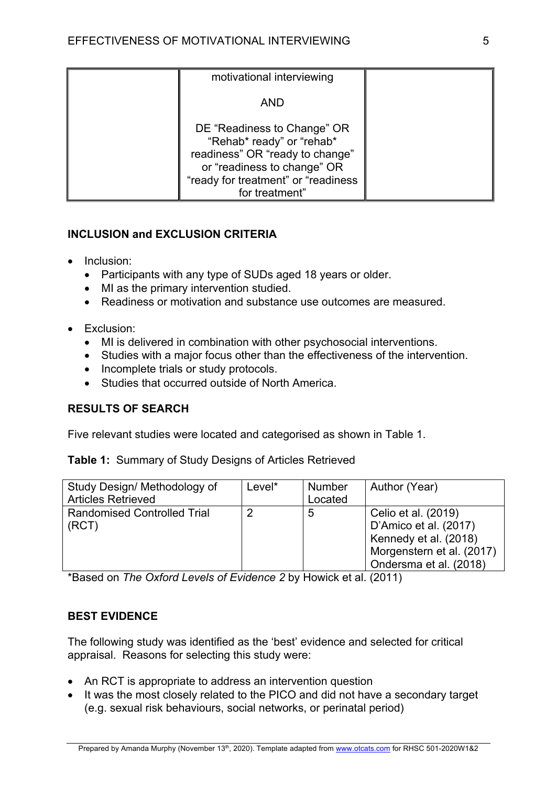| motivational interviewing                                                                                                                                                           |  |
|-------------------------------------------------------------------------------------------------------------------------------------------------------------------------------------|--|
| <b>AND</b>                                                                                                                                                                          |  |
| DE "Readiness to Change" OR<br>"Rehab* ready" or "rehab*<br>readiness" OR "ready to change"<br>or "readiness to change" OR<br>"ready for treatment" or "readiness<br>for treatment" |  |

# **INCLUSION and EXCLUSION CRITERIA**

- Inclusion:
	- Participants with any type of SUDs aged 18 years or older.
	- MI as the primary intervention studied.
	- Readiness or motivation and substance use outcomes are measured.
- Exclusion:
	- MI is delivered in combination with other psychosocial interventions.
	- Studies with a major focus other than the effectiveness of the intervention.
	- Incomplete trials or study protocols.
	- Studies that occurred outside of North America.

# **RESULTS OF SEARCH**

Five relevant studies were located and categorised as shown in Table 1.

# **Table 1:** Summary of Study Designs of Articles Retrieved

| Study Design/ Methodology of<br><b>Articles Retrieved</b> | Level* | <b>Number</b><br>Located | Author (Year)                                                                                                                |
|-----------------------------------------------------------|--------|--------------------------|------------------------------------------------------------------------------------------------------------------------------|
| <b>Randomised Controlled Trial</b><br>(RCT)               |        | 5                        | Celio et al. (2019)<br>D'Amico et al. (2017)<br>Kennedy et al. (2018)<br>Morgenstern et al. (2017)<br>Ondersma et al. (2018) |

\*Based on *The Oxford Levels of Evidence 2* by Howick et al. (2011)

# **BEST EVIDENCE**

The following study was identified as the 'best' evidence and selected for critical appraisal. Reasons for selecting this study were:

- An RCT is appropriate to address an intervention question
- It was the most closely related to the PICO and did not have a secondary target (e.g. sexual risk behaviours, social networks, or perinatal period)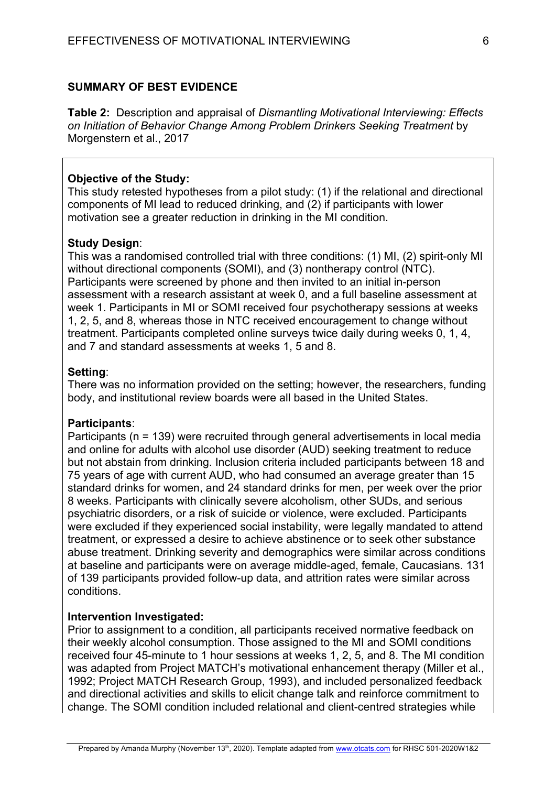### **SUMMARY OF BEST EVIDENCE**

**Table 2:** Description and appraisal of *Dismantling Motivational Interviewing: Effects on Initiation of Behavior Change Among Problem Drinkers Seeking Treatment* by Morgenstern et al., 2017

#### **Objective of the Study:**

This study retested hypotheses from a pilot study: (1) if the relational and directional components of MI lead to reduced drinking, and (2) if participants with lower motivation see a greater reduction in drinking in the MI condition.

#### **Study Design**:

This was a randomised controlled trial with three conditions: (1) MI, (2) spirit-only MI without directional components (SOMI), and (3) nontherapy control (NTC). Participants were screened by phone and then invited to an initial in-person assessment with a research assistant at week 0, and a full baseline assessment at week 1. Participants in MI or SOMI received four psychotherapy sessions at weeks 1, 2, 5, and 8, whereas those in NTC received encouragement to change without treatment. Participants completed online surveys twice daily during weeks 0, 1, 4, and 7 and standard assessments at weeks 1, 5 and 8.

#### **Setting**:

There was no information provided on the setting; however, the researchers, funding body, and institutional review boards were all based in the United States.

#### **Participants**:

Participants (n = 139) were recruited through general advertisements in local media and online for adults with alcohol use disorder (AUD) seeking treatment to reduce but not abstain from drinking. Inclusion criteria included participants between 18 and 75 years of age with current AUD, who had consumed an average greater than 15 standard drinks for women, and 24 standard drinks for men, per week over the prior 8 weeks. Participants with clinically severe alcoholism, other SUDs, and serious psychiatric disorders, or a risk of suicide or violence, were excluded. Participants were excluded if they experienced social instability, were legally mandated to attend treatment, or expressed a desire to achieve abstinence or to seek other substance abuse treatment. Drinking severity and demographics were similar across conditions at baseline and participants were on average middle-aged, female, Caucasians. 131 of 139 participants provided follow-up data, and attrition rates were similar across conditions.

#### **Intervention Investigated:**

Prior to assignment to a condition, all participants received normative feedback on their weekly alcohol consumption. Those assigned to the MI and SOMI conditions received four 45-minute to 1 hour sessions at weeks 1, 2, 5, and 8. The MI condition was adapted from Project MATCH's motivational enhancement therapy (Miller et al., 1992; Project MATCH Research Group, 1993), and included personalized feedback and directional activities and skills to elicit change talk and reinforce commitment to change. The SOMI condition included relational and client-centred strategies while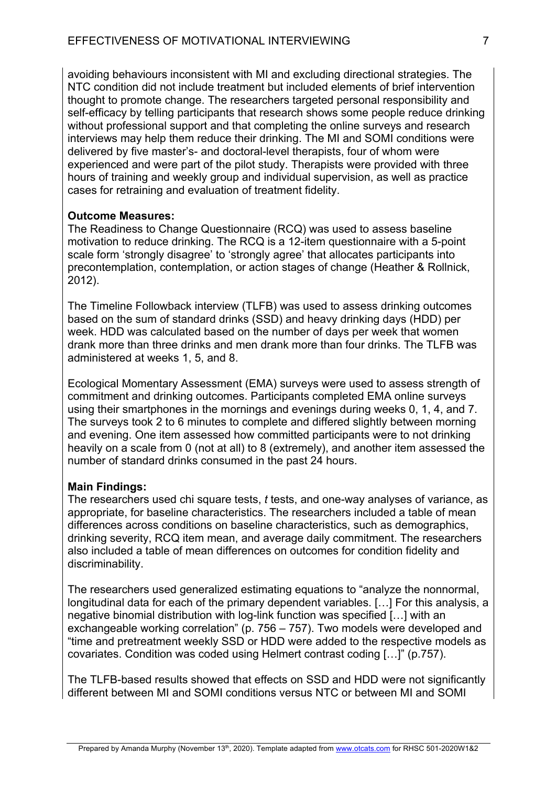avoiding behaviours inconsistent with MI and excluding directional strategies. The NTC condition did not include treatment but included elements of brief intervention thought to promote change. The researchers targeted personal responsibility and self-efficacy by telling participants that research shows some people reduce drinking without professional support and that completing the online surveys and research interviews may help them reduce their drinking. The MI and SOMI conditions were delivered by five master's- and doctoral-level therapists, four of whom were experienced and were part of the pilot study. Therapists were provided with three hours of training and weekly group and individual supervision, as well as practice cases for retraining and evaluation of treatment fidelity.

### **Outcome Measures:**

The Readiness to Change Questionnaire (RCQ) was used to assess baseline motivation to reduce drinking. The RCQ is a 12-item questionnaire with a 5-point scale form 'strongly disagree' to 'strongly agree' that allocates participants into precontemplation, contemplation, or action stages of change (Heather & Rollnick, 2012).

The Timeline Followback interview (TLFB) was used to assess drinking outcomes based on the sum of standard drinks (SSD) and heavy drinking days (HDD) per week. HDD was calculated based on the number of days per week that women drank more than three drinks and men drank more than four drinks. The TLFB was administered at weeks 1, 5, and 8.

Ecological Momentary Assessment (EMA) surveys were used to assess strength of commitment and drinking outcomes. Participants completed EMA online surveys using their smartphones in the mornings and evenings during weeks 0, 1, 4, and 7. The surveys took 2 to 6 minutes to complete and differed slightly between morning and evening. One item assessed how committed participants were to not drinking heavily on a scale from 0 (not at all) to 8 (extremely), and another item assessed the number of standard drinks consumed in the past 24 hours.

# **Main Findings:**

The researchers used chi square tests, *t* tests, and one-way analyses of variance, as appropriate, for baseline characteristics. The researchers included a table of mean differences across conditions on baseline characteristics, such as demographics, drinking severity, RCQ item mean, and average daily commitment. The researchers also included a table of mean differences on outcomes for condition fidelity and discriminability.

The researchers used generalized estimating equations to "analyze the nonnormal, longitudinal data for each of the primary dependent variables. […] For this analysis, a negative binomial distribution with log-link function was specified […] with an exchangeable working correlation" (p. 756 – 757). Two models were developed and "time and pretreatment weekly SSD or HDD were added to the respective models as covariates. Condition was coded using Helmert contrast coding […]" (p.757).

The TLFB-based results showed that effects on SSD and HDD were not significantly different between MI and SOMI conditions versus NTC or between MI and SOMI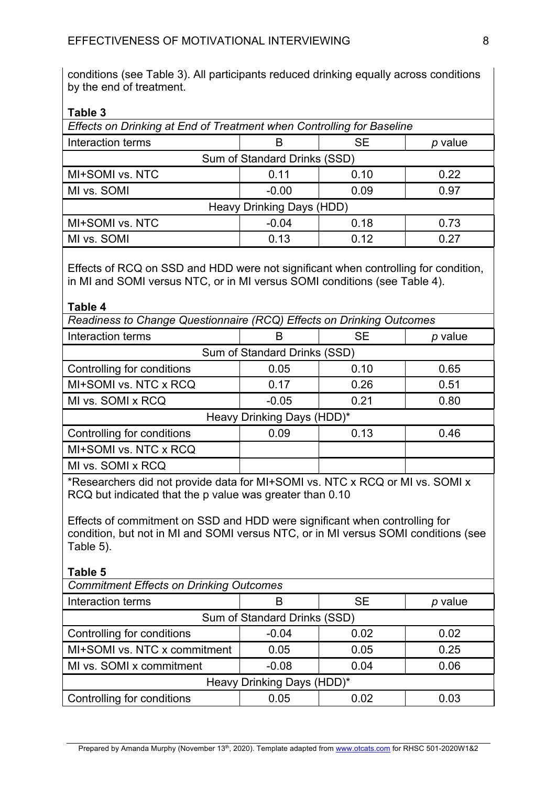conditions (see Table 3). All participants reduced drinking equally across conditions by the end of treatment.

**Table 3**

| Effects on Drinking at End of Treatment when Controlling for Baseline |         |           |           |  |
|-----------------------------------------------------------------------|---------|-----------|-----------|--|
| Interaction terms                                                     | в       | <b>SE</b> | $p$ value |  |
| Sum of Standard Drinks (SSD)                                          |         |           |           |  |
| MI+SOMI vs. NTC                                                       | 0.11    | 0.10      | 0.22      |  |
| MI vs. SOMI                                                           | $-0.00$ | 0.09      | 0.97      |  |
| Heavy Drinking Days (HDD)                                             |         |           |           |  |
| MI+SOMI vs. NTC                                                       | $-0.04$ | 0.18      | 0.73      |  |
| MI vs. SOMI                                                           | 0.13    | 0.12      | 0.27      |  |
|                                                                       |         |           |           |  |

Effects of RCQ on SSD and HDD were not significant when controlling for condition, in MI and SOMI versus NTC, or in MI versus SOMI conditions (see Table 4).

| Readiness to Change Questionnaire (RCQ) Effects on Drinking Outcomes |         |           |         |  |
|----------------------------------------------------------------------|---------|-----------|---------|--|
| Interaction terms                                                    | B       | <b>SE</b> | p value |  |
| Sum of Standard Drinks (SSD)                                         |         |           |         |  |
| 0.05<br>Controlling for conditions<br>0.10<br>0.65                   |         |           |         |  |
| MI+SOMI vs. NTC x RCQ                                                | 0.17    | 0.26      | 0.51    |  |
| MI vs. SOMI x RCQ                                                    | $-0.05$ | 0.21      | 0.80    |  |
| Heavy Drinking Days (HDD)*                                           |         |           |         |  |
| Controlling for conditions                                           | 0.09    | 0.13      | 0.46    |  |
| MI+SOMI vs. NTC x RCQ                                                |         |           |         |  |
| MI vs. SOMI x RCQ                                                    |         |           |         |  |

\*Researchers did not provide data for MI+SOMI vs. NTC x RCQ or MI vs. SOMI x RCQ but indicated that the p value was greater than 0.10

Effects of commitment on SSD and HDD were significant when controlling for condition, but not in MI and SOMI versus NTC, or in MI versus SOMI conditions (see Table 5).

**Table 5**

| <b>Commitment Effects on Drinking Outcomes</b>        |         |           |         |  |
|-------------------------------------------------------|---------|-----------|---------|--|
| Interaction terms                                     |         | <b>SE</b> | p value |  |
| Sum of Standard Drinks (SSD)                          |         |           |         |  |
| Controlling for conditions<br>0.02<br>$-0.04$<br>0.02 |         |           |         |  |
| MI+SOMI vs. NTC x commitment                          | 0.05    | 0.05      | 0.25    |  |
| MI vs. SOMI x commitment                              | $-0.08$ | 0.04      | 0.06    |  |
| Heavy Drinking Days (HDD)*                            |         |           |         |  |
| Controlling for conditions                            | 0.05    | 0.02      | 0.03    |  |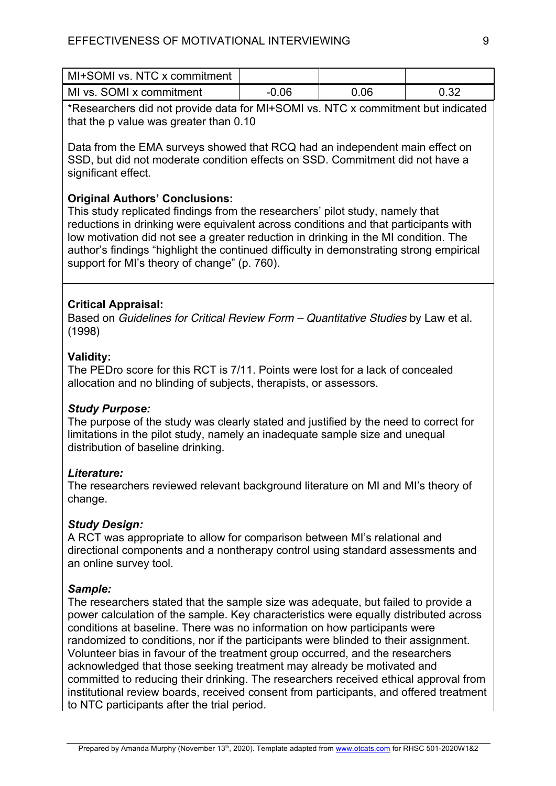| MI+SOMI vs. NTC x commitment |         |      |      |
|------------------------------|---------|------|------|
| MI vs. SOMI x commitment     | $-0.06$ | 0.06 | 0.32 |

\*Researchers did not provide data for MI+SOMI vs. NTC x commitment but indicated that the p value was greater than 0.10

Data from the EMA surveys showed that RCQ had an independent main effect on SSD, but did not moderate condition effects on SSD. Commitment did not have a significant effect.

# **Original Authors' Conclusions:**

This study replicated findings from the researchers' pilot study, namely that reductions in drinking were equivalent across conditions and that participants with low motivation did not see a greater reduction in drinking in the MI condition. The author's findings "highlight the continued difficulty in demonstrating strong empirical support for MI's theory of change" (p. 760).

# **Critical Appraisal:**

Based on *Guidelines for Critical Review Form – Quantitative Studies* by Law et al. (1998)

# **Validity:**

The PEDro score for this RCT is 7/11. Points were lost for a lack of concealed allocation and no blinding of subjects, therapists, or assessors.

# *Study Purpose:*

The purpose of the study was clearly stated and justified by the need to correct for limitations in the pilot study, namely an inadequate sample size and unequal distribution of baseline drinking.

# *Literature:*

The researchers reviewed relevant background literature on MI and MI's theory of change.

# *Study Design:*

A RCT was appropriate to allow for comparison between MI's relational and directional components and a nontherapy control using standard assessments and an online survey tool.

# *Sample:*

The researchers stated that the sample size was adequate, but failed to provide a power calculation of the sample. Key characteristics were equally distributed across conditions at baseline. There was no information on how participants were randomized to conditions, nor if the participants were blinded to their assignment. Volunteer bias in favour of the treatment group occurred, and the researchers acknowledged that those seeking treatment may already be motivated and committed to reducing their drinking. The researchers received ethical approval from institutional review boards, received consent from participants, and offered treatment to NTC participants after the trial period.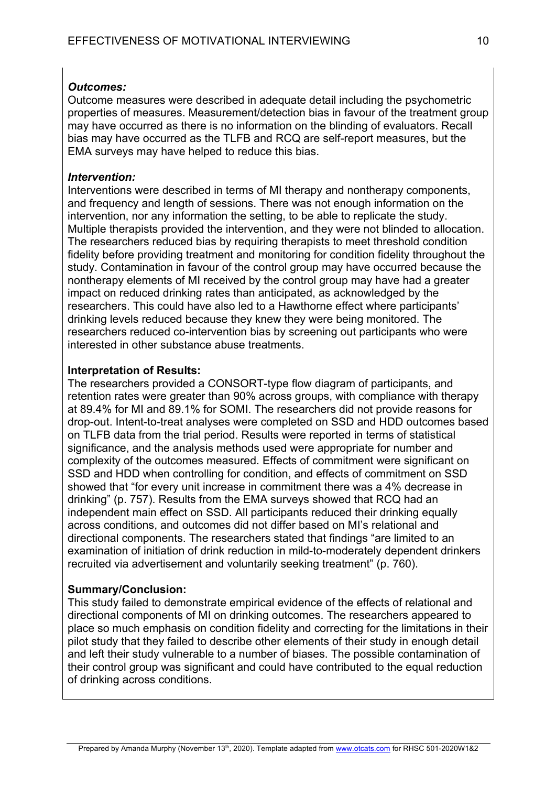### *Outcomes:*

Outcome measures were described in adequate detail including the psychometric properties of measures. Measurement/detection bias in favour of the treatment group may have occurred as there is no information on the blinding of evaluators. Recall bias may have occurred as the TLFB and RCQ are self-report measures, but the EMA surveys may have helped to reduce this bias.

### *Intervention:*

Interventions were described in terms of MI therapy and nontherapy components, and frequency and length of sessions. There was not enough information on the intervention, nor any information the setting, to be able to replicate the study. Multiple therapists provided the intervention, and they were not blinded to allocation. The researchers reduced bias by requiring therapists to meet threshold condition fidelity before providing treatment and monitoring for condition fidelity throughout the study. Contamination in favour of the control group may have occurred because the nontherapy elements of MI received by the control group may have had a greater impact on reduced drinking rates than anticipated, as acknowledged by the researchers. This could have also led to a Hawthorne effect where participants' drinking levels reduced because they knew they were being monitored. The researchers reduced co-intervention bias by screening out participants who were interested in other substance abuse treatments.

# **Interpretation of Results:**

The researchers provided a CONSORT-type flow diagram of participants, and retention rates were greater than 90% across groups, with compliance with therapy at 89.4% for MI and 89.1% for SOMI. The researchers did not provide reasons for drop-out. Intent-to-treat analyses were completed on SSD and HDD outcomes based on TLFB data from the trial period. Results were reported in terms of statistical significance, and the analysis methods used were appropriate for number and complexity of the outcomes measured. Effects of commitment were significant on SSD and HDD when controlling for condition, and effects of commitment on SSD showed that "for every unit increase in commitment there was a 4% decrease in drinking" (p. 757). Results from the EMA surveys showed that RCQ had an independent main effect on SSD. All participants reduced their drinking equally across conditions, and outcomes did not differ based on MI's relational and directional components. The researchers stated that findings "are limited to an examination of initiation of drink reduction in mild-to-moderately dependent drinkers recruited via advertisement and voluntarily seeking treatment" (p. 760).

### **Summary/Conclusion:**

This study failed to demonstrate empirical evidence of the effects of relational and directional components of MI on drinking outcomes. The researchers appeared to place so much emphasis on condition fidelity and correcting for the limitations in their pilot study that they failed to describe other elements of their study in enough detail and left their study vulnerable to a number of biases. The possible contamination of their control group was significant and could have contributed to the equal reduction of drinking across conditions.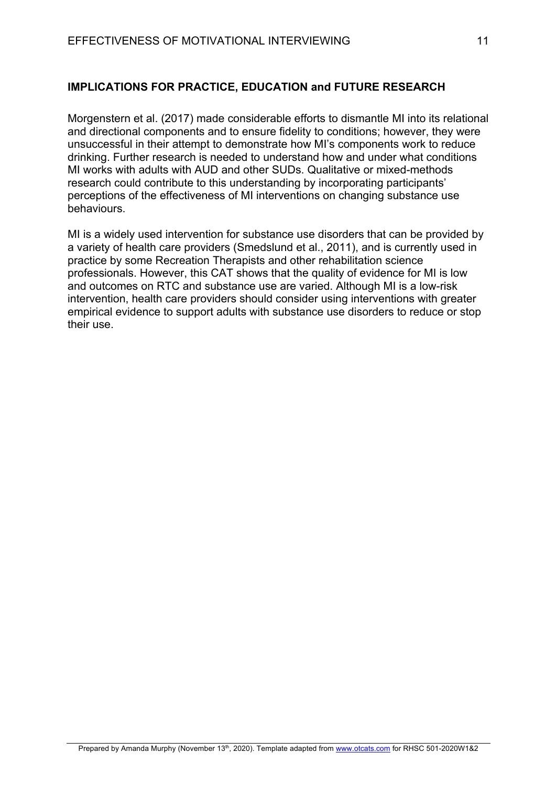# **IMPLICATIONS FOR PRACTICE, EDUCATION and FUTURE RESEARCH**

Morgenstern et al. (2017) made considerable efforts to dismantle MI into its relational and directional components and to ensure fidelity to conditions; however, they were unsuccessful in their attempt to demonstrate how MI's components work to reduce drinking. Further research is needed to understand how and under what conditions MI works with adults with AUD and other SUDs. Qualitative or mixed-methods research could contribute to this understanding by incorporating participants' perceptions of the effectiveness of MI interventions on changing substance use behaviours.

MI is a widely used intervention for substance use disorders that can be provided by a variety of health care providers (Smedslund et al., 2011), and is currently used in practice by some Recreation Therapists and other rehabilitation science professionals. However, this CAT shows that the quality of evidence for MI is low and outcomes on RTC and substance use are varied. Although MI is a low-risk intervention, health care providers should consider using interventions with greater empirical evidence to support adults with substance use disorders to reduce or stop their use.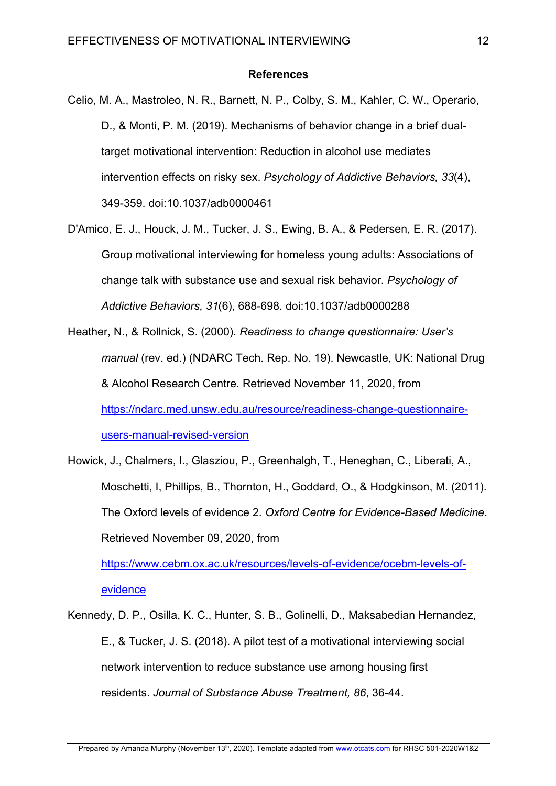#### **References**

- Celio, M. A., Mastroleo, N. R., Barnett, N. P., Colby, S. M., Kahler, C. W., Operario, D., & Monti, P. M. (2019). Mechanisms of behavior change in a brief dualtarget motivational intervention: Reduction in alcohol use mediates intervention effects on risky sex. *Psychology of Addictive Behaviors, 33*(4), 349-359. doi:10.1037/adb0000461
- D'Amico, E. J., Houck, J. M., Tucker, J. S., Ewing, B. A., & Pedersen, E. R. (2017). Group motivational interviewing for homeless young adults: Associations of change talk with substance use and sexual risk behavior. *Psychology of Addictive Behaviors, 31*(6), 688-698. doi:10.1037/adb0000288
- Heather, N., & Rollnick, S. (2000). *Readiness to change questionnaire: User's manual* (rev. ed.) (NDARC Tech. Rep. No. 19). Newcastle, UK: National Drug & Alcohol Research Centre. Retrieved November 11, 2020, from https://ndarc.med.unsw.edu.au/resource/readiness-change-questionnaireusers-manual-revised-version
- Howick, J., Chalmers, I., Glasziou, P., Greenhalgh, T., Heneghan, C., Liberati, A., Moschetti, I, Phillips, B., Thornton, H., Goddard, O., & Hodgkinson, M. (2011). The Oxford levels of evidence 2. *Oxford Centre for Evidence-Based Medicine*. Retrieved November 09, 2020, from

https://www.cebm.ox.ac.uk/resources/levels-of-evidence/ocebm-levels-ofevidence

Kennedy, D. P., Osilla, K. C., Hunter, S. B., Golinelli, D., Maksabedian Hernandez, E., & Tucker, J. S. (2018). A pilot test of a motivational interviewing social network intervention to reduce substance use among housing first residents. *Journal of Substance Abuse Treatment, 86*, 36-44.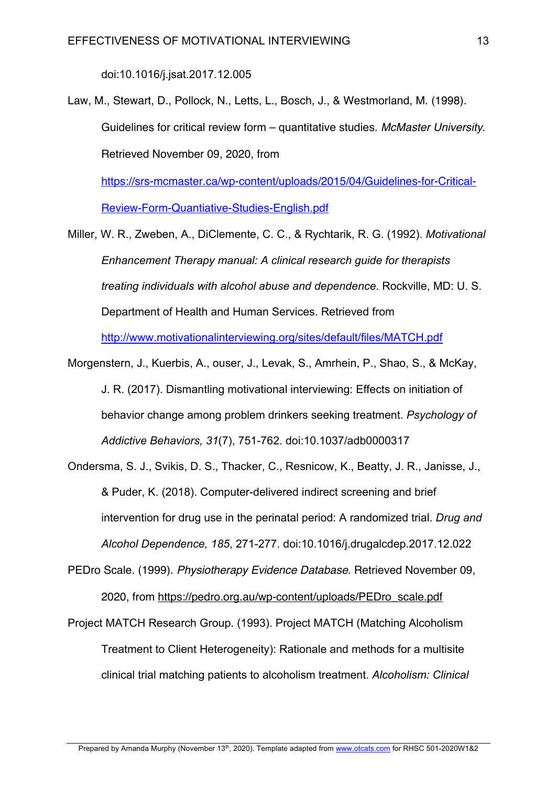doi:10.1016/j.jsat.2017.12.005

Law, M., Stewart, D., Pollock, N., Letts, L., Bosch, J., & Westmorland, M. (1998). Guidelines for critical review form – quantitative studies. *McMaster University*. Retrieved November 09, 2020, from

https://srs-mcmaster.ca/wp-content/uploads/2015/04/Guidelines-for-Critical-Review-Form-Quantiative-Studies-English.pdf

Miller, W. R., Zweben, A., DiClemente, C. C., & Rychtarik, R. G. (1992). *Motivational Enhancement Therapy manual: A clinical research guide for therapists treating individuals with alcohol abuse and dependence*. Rockville, MD: U. S. Department of Health and Human Services. Retrieved from

http://www.motivationalinterviewing.org/sites/default/files/MATCH.pdf

- Morgenstern, J., Kuerbis, A., ouser, J., Levak, S., Amrhein, P., Shao, S., & McKay, J. R. (2017). Dismantling motivational interviewing: Effects on initiation of behavior change among problem drinkers seeking treatment. *Psychology of Addictive Behaviors, 31*(7), 751-762. doi:10.1037/adb0000317
- Ondersma, S. J., Svikis, D. S., Thacker, C., Resnicow, K., Beatty, J. R., Janisse, J., & Puder, K. (2018). Computer-delivered indirect screening and brief intervention for drug use in the perinatal period: A randomized trial. *Drug and Alcohol Dependence, 185*, 271-277. doi:10.1016/j.drugalcdep.2017.12.022
- PEDro Scale. (1999). *Physiotherapy Evidence Database*. Retrieved November 09, 2020, from https://pedro.org.au/wp-content/uploads/PEDro\_scale.pdf
- Project MATCH Research Group. (1993). Project MATCH (Matching Alcoholism Treatment to Client Heterogeneity): Rationale and methods for a multisite clinical trial matching patients to alcoholism treatment. *Alcoholism: Clinical*